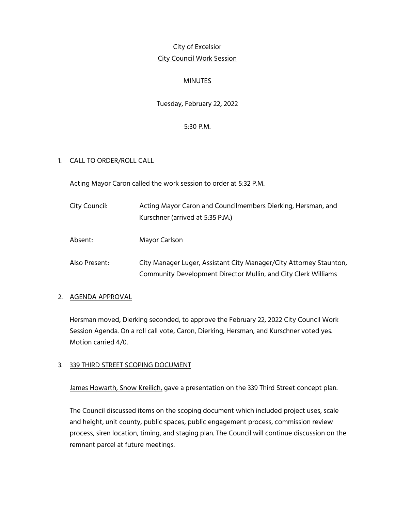# City of Excelsior City Council Work Session

## MINUTES

## Tuesday, February 22, 2022

### 5:30 P.M.

#### 1. CALL TO ORDER/ROLL CALL

Acting Mayor Caron called the work session to order at 5:32 P.M.

| City Council: | Acting Mayor Caron and Councilmembers Dierking, Hersman, and |
|---------------|--------------------------------------------------------------|
|               | Kurschner (arrived at 5:35 P.M.)                             |
| Absent:       | Mayor Carlson                                                |

- - Also Present: City Manager Luger, Assistant City Manager/City Attorney Staunton, Community Development Director Mullin, and City Clerk Williams

#### 2. AGENDA APPROVAL

Hersman moved, Dierking seconded, to approve the February 22, 2022 City Council Work Session Agenda. On a roll call vote, Caron, Dierking, Hersman, and Kurschner voted yes. Motion carried 4/0.

#### 3. 339 THIRD STREET SCOPING DOCUMENT

James Howarth, Snow Kreilich, gave a presentation on the 339 Third Street concept plan.

The Council discussed items on the scoping document which included project uses, scale and height, unit county, public spaces, public engagement process, commission review process, siren location, timing, and staging plan. The Council will continue discussion on the remnant parcel at future meetings.